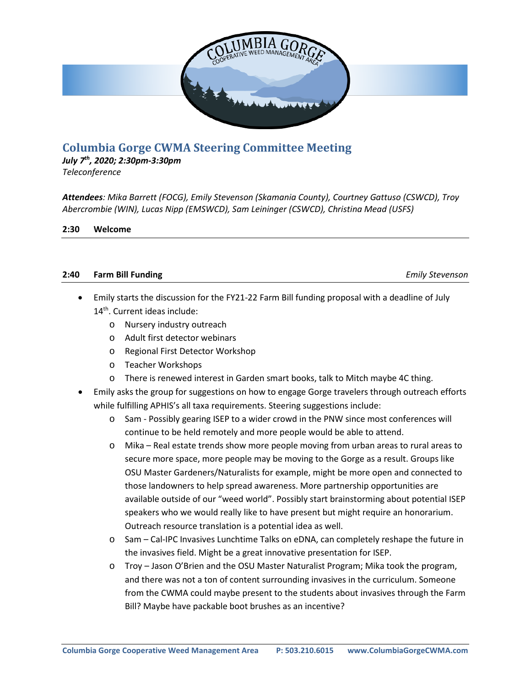

# **Columbia Gorge CWMA Steering Committee Meeting**

*July 7th, 2020; 2:30pm-3:30pm Teleconference*

*Attendees: Mika Barrett (FOCG), Emily Stevenson (Skamania County), Courtney Gattuso (CSWCD), Troy Abercrombie (WIN), Lucas Nipp (EMSWCD), Sam Leininger (CSWCD), Christina Mead (USFS)*

**2:30 Welcome**

#### **2:40 Farm Bill Funding** *Emily Stevenson*

- Emily starts the discussion for the FY21-22 Farm Bill funding proposal with a deadline of July 14<sup>th</sup>. Current ideas include:
	- o Nursery industry outreach
	- o Adult first detector webinars
	- o Regional First Detector Workshop
	- o Teacher Workshops
	- o There is renewed interest in Garden smart books, talk to Mitch maybe 4C thing.
- Emily asks the group for suggestions on how to engage Gorge travelers through outreach efforts while fulfilling APHIS's all taxa requirements. Steering suggestions include:
	- o Sam Possibly gearing ISEP to a wider crowd in the PNW since most conferences will continue to be held remotely and more people would be able to attend.
	- o Mika Real estate trends show more people moving from urban areas to rural areas to secure more space, more people may be moving to the Gorge as a result. Groups like OSU Master Gardeners/Naturalists for example, might be more open and connected to those landowners to help spread awareness. More partnership opportunities are available outside of our "weed world". Possibly start brainstorming about potential ISEP speakers who we would really like to have present but might require an honorarium. Outreach resource translation is a potential idea as well.
	- o Sam Cal-IPC Invasives Lunchtime Talks on eDNA, can completely reshape the future in the invasives field. Might be a great innovative presentation for ISEP.
	- o Troy Jason O'Brien and the OSU Master Naturalist Program; Mika took the program, and there was not a ton of content surrounding invasives in the curriculum. Someone from the CWMA could maybe present to the students about invasives through the Farm Bill? Maybe have packable boot brushes as an incentive?